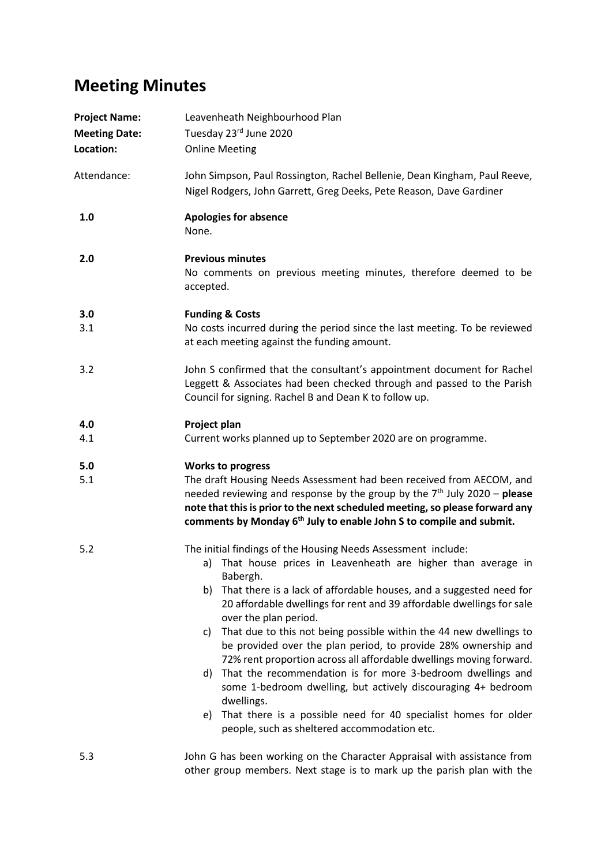## **Meeting Minutes**

| <b>Project Name:</b><br><b>Meeting Date:</b><br>Location: | Leavenheath Neighbourhood Plan<br>Tuesday 23rd June 2020<br><b>Online Meeting</b>                                                                                                                                                                                                                                                                                                                                                                                                                                                                                                                                                                                                                                                                                                                                            |
|-----------------------------------------------------------|------------------------------------------------------------------------------------------------------------------------------------------------------------------------------------------------------------------------------------------------------------------------------------------------------------------------------------------------------------------------------------------------------------------------------------------------------------------------------------------------------------------------------------------------------------------------------------------------------------------------------------------------------------------------------------------------------------------------------------------------------------------------------------------------------------------------------|
| Attendance:                                               | John Simpson, Paul Rossington, Rachel Bellenie, Dean Kingham, Paul Reeve,<br>Nigel Rodgers, John Garrett, Greg Deeks, Pete Reason, Dave Gardiner                                                                                                                                                                                                                                                                                                                                                                                                                                                                                                                                                                                                                                                                             |
| 1.0                                                       | <b>Apologies for absence</b><br>None.                                                                                                                                                                                                                                                                                                                                                                                                                                                                                                                                                                                                                                                                                                                                                                                        |
| 2.0                                                       | <b>Previous minutes</b><br>No comments on previous meeting minutes, therefore deemed to be<br>accepted.                                                                                                                                                                                                                                                                                                                                                                                                                                                                                                                                                                                                                                                                                                                      |
| 3.0<br>3.1                                                | <b>Funding &amp; Costs</b><br>No costs incurred during the period since the last meeting. To be reviewed<br>at each meeting against the funding amount.                                                                                                                                                                                                                                                                                                                                                                                                                                                                                                                                                                                                                                                                      |
| 3.2                                                       | John S confirmed that the consultant's appointment document for Rachel<br>Leggett & Associates had been checked through and passed to the Parish<br>Council for signing. Rachel B and Dean K to follow up.                                                                                                                                                                                                                                                                                                                                                                                                                                                                                                                                                                                                                   |
| 4.0<br>4.1                                                | Project plan<br>Current works planned up to September 2020 are on programme.                                                                                                                                                                                                                                                                                                                                                                                                                                                                                                                                                                                                                                                                                                                                                 |
| 5.0<br>5.1                                                | <b>Works to progress</b><br>The draft Housing Needs Assessment had been received from AECOM, and<br>needed reviewing and response by the group by the $7th$ July 2020 – please<br>note that this is prior to the next scheduled meeting, so please forward any<br>comments by Monday 6 <sup>th</sup> July to enable John S to compile and submit.                                                                                                                                                                                                                                                                                                                                                                                                                                                                            |
| 5.2                                                       | The initial findings of the Housing Needs Assessment include:<br>a) That house prices in Leavenheath are higher than average in<br>Babergh.<br>That there is a lack of affordable houses, and a suggested need for<br>b)<br>20 affordable dwellings for rent and 39 affordable dwellings for sale<br>over the plan period.<br>That due to this not being possible within the 44 new dwellings to<br>C)<br>be provided over the plan period, to provide 28% ownership and<br>72% rent proportion across all affordable dwellings moving forward.<br>That the recommendation is for more 3-bedroom dwellings and<br>d)<br>some 1-bedroom dwelling, but actively discouraging 4+ bedroom<br>dwellings.<br>That there is a possible need for 40 specialist homes for older<br>e)<br>people, such as sheltered accommodation etc. |
| 5.3                                                       | John G has been working on the Character Appraisal with assistance from<br>other group members. Next stage is to mark up the parish plan with the                                                                                                                                                                                                                                                                                                                                                                                                                                                                                                                                                                                                                                                                            |